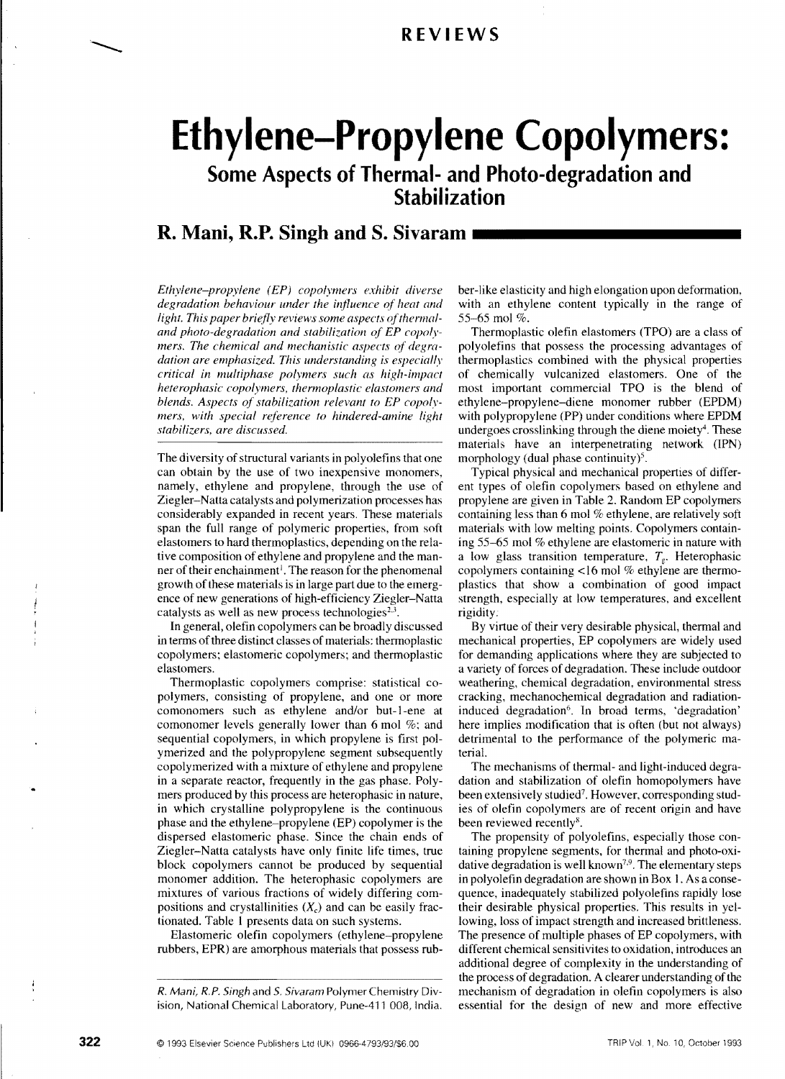# **Ethylene-Propylene Copolymers:**

**Some Aspects of Thermal- and Photo-degradation and Stabilization** 

## **R. Mani, R.P. Singh and S. Sivaram**

*Ethylene-propylene (EP) copolymers exhibit diverse degradation behaviour under the influence of heat and*  light. This paper briefly reviews some aspects of thermal*and photo-degradation and stabilization of EP copolymers. The chemical and mechanistic aspects of degradation are emphasized. This understanding* is *especially critical* in *multiphase polymers such as high-impact heterophasic copolymers, thermoplastic elastomers and blends. Aspects of stabilization relevant to EP copolymers, with special reference to hindered-amine light stabilizers, are discussed.* 

The diversity of structural variants in polyolefins that one can obtain by the use of two inexpensive monomers, namely, ethylene and propylene, through the use of Ziegler-Natta catalysts and polymerization processes has considerably expanded in recent years. These materials span the full range of polymeric properties, from soft elastomers to hard thermoplastics, depending on the relative composition of ethylene and propylene and the manner of their enchainment<sup>1</sup>. The reason for the phenomenal growth of these materials is in large part due to the emergence of new generations of high-efficiency Ziegler-Natta catalysts as well as new process technologies $2,3$ .

In general, olefin copolymers can be broadly discussed in terms of three distinct classes of materials: thermoplastic copolymers; elastomeric copolymers; and thermoplastic elastomers.

Thermoplastic copolymers comprise: statistical copolymers, consisting of propylene, and one or more comonomers such as ethylene and/or but-1-ene at comonomer levels generally lower than 6 mol %; and sequential copolymers, in which propylene is first polymerized and the polypropylene segment subsequently copolymerized with a mixture of ethylene and propylene in a separate reactor, frequently in the gas phase. Polymers produced by this process are heterophasic in nature, in which crystalline polypropylene is the continuous phase and the ethylene-propylene (EP) copolymer is the dispersed elastomeric phase. Since the chain ends of Ziegler-Natta catalysts have only finite life times, true block copolymers cannot be produced by sequential monomer addition. The heterophasic copolymers are mixtures of various fractions of widely differing compositions and crystallinities  $(X_c)$  and can be easily fractionated. Table 1 presents data on such systems.

Elastomeric olefin copolymers (ethylene-propylene rubbers, EPR) are amorphous materials that possess rubber-like elasticity and high elongation upon deformation, with an ethylene content typically in the range of 55-65 mol %.

Thermoplastic olefin elastomers (TPO) are a class of polyolefins that possess the processing advantages of thermoplastics combined with the physical properties of chemically vulcanized elastomers. One of the most important commercial TPO is the blend of ethylene-propylene-diene monomer rubber (EPDM) with polypropylene (PP) under conditions where EPDM undergoes crosslinking through the diene moiety<sup>4</sup>. These materials have an interpenetrating network (IPN) morphology (dual phase continuity)<sup>5</sup>.

Typical physical and mechanical properties of different types of olefin copolymers based on ethylene and propylene are given in Table 2. Random EP copolymers containing less than 6 mol % ethylene, are relatively soft materials with low melting points. Copolymers containing 55-65 mol % ethylene are elastomeric in nature with a low glass transition temperature,  $T_g$ . Heterophasic copolymers containing <16 mol % ethylene are thermoplastics that show a combination of good impact strength, especially at low temperatures, and excellent rigidity.

By virtue of their very desirable physical, thermal and mechanical properties, EP copolymers are widely used for demanding applications where they are subjected to a variety of forces of degradation. These include outdoor weathering, chemical degradation, environmental stress cracking, mechanochemical degradation and radiationinduced degradation<sup>6</sup>. In broad terms, 'degradation' here implies modification that is often (but not always) detrimental to the performance of the polymeric material.

The mechanisms of thermal- and light-induced degradation and stabilization of olefin homopolymers have been extensively studied<sup>7</sup>. However, corresponding studies of olefin copolymers are of recent origin and have been reviewed recently".

The propensity of polyolefins, especially those containing propylene segments, for thermal and photo-oxidative degradation is well known<sup>7,9</sup>. The elementary steps in polyolefin degradation are shown in Box I. As a consequence, inadequately stabilized polyolefins rapidly lose their desirable physical properties. This results in yellowing, loss of impact strength and increased brittleness. The presence of multiple phases of EP copolymers, with different chemical sensitivites to oxidation, introduces an additional degree of complexity in the understanding of the process of degradation. A clearer understanding of the mechanism of degradation in olefin copolymers is also essential for the design of new and more effective

*R. Mani, R.P. Singh* and *S. Sivaram* Polymer Chemistry Division, National Chemical Laboratory, Pune-411 008, India.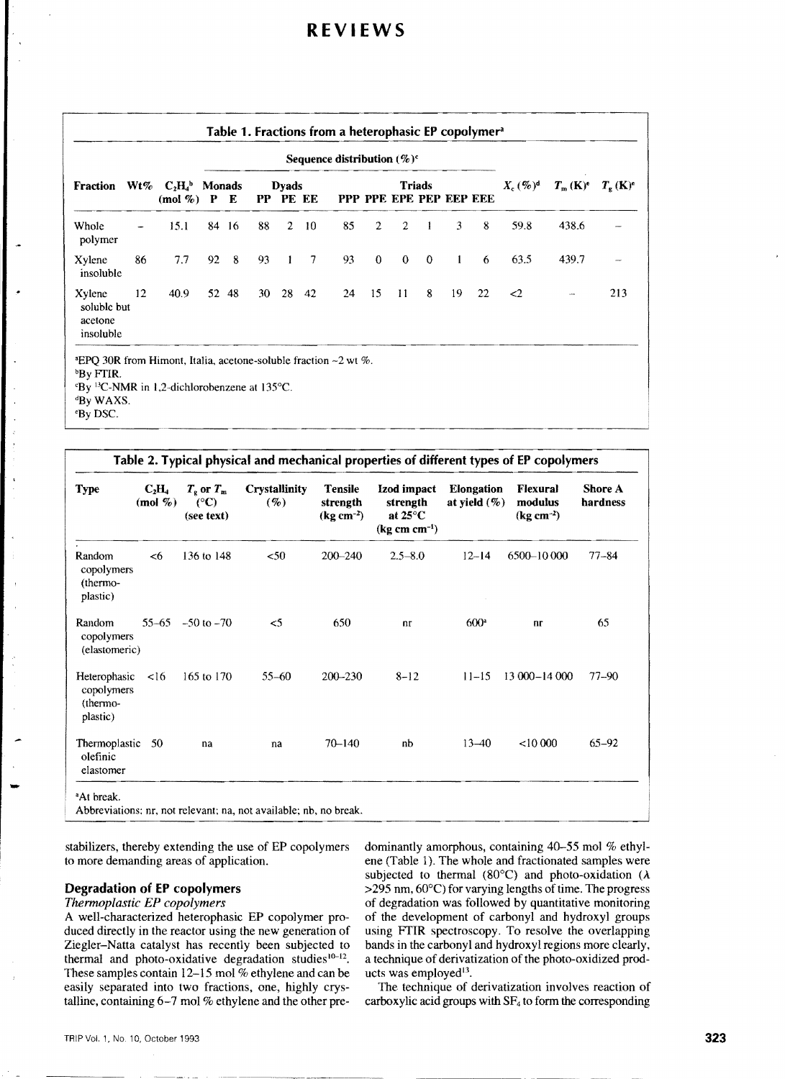| Fraction                                      |    | $Wt\%$ $C_2H_4$ <sup>b</sup> Monads<br>$(mod \, %)$ P E | Sequence distribution $(\%)^c$ |       |    |                          |                 |    |              |                |               |                         |    |                |                              |                              |
|-----------------------------------------------|----|---------------------------------------------------------|--------------------------------|-------|----|--------------------------|-----------------|----|--------------|----------------|---------------|-------------------------|----|----------------|------------------------------|------------------------------|
|                                               |    |                                                         |                                |       |    | <b>Dyads</b><br>PP PE EE |                 |    |              |                | <b>Triads</b> | PPP PPE EPE PEP EEP EEE |    | $X_c$ $(\%)^d$ | $T_{\rm m}$ (K) <sup>e</sup> | $T_{\rm g}$ (K) <sup>e</sup> |
| Whole<br>polymer                              |    | 15.1                                                    |                                | 84 16 | 88 | $\overline{2}$           | 10 <sup>°</sup> | 85 | $\mathbf{2}$ | $\overline{2}$ | $\mathbf{1}$  | 3                       | 8  | 59.8           | 438.6                        |                              |
| Xylene<br>insoluble                           | 86 | 7.7                                                     | 92                             | 8     | 93 | $\mathbf{I}$             | $\overline{7}$  | 93 | $\mathbf{0}$ | $\mathbf{0}$   | $\theta$      | $\mathbf{1}$            | 6  | 63.5           | 439.7                        |                              |
| Xylene<br>soluble but<br>acetone<br>insoluble | 12 | 40.9                                                    |                                | 52 48 | 30 | 28                       | 42              | 24 | 15           | $\mathbf{11}$  | 8             | 19                      | 22 | $\leq$         | $\sim$                       | 213                          |

| <b>Type</b>                                        | $C_2H_4$<br>(mol $\%$ ) | $T_{\rm g}$ or $T_{\rm m}$<br>$(^{\circ}C)$<br>(see text) | <b>Crystallinity</b><br>$(9_0)$ | <b>Tensile</b><br>strength<br>$(kg cm^{-2})$ | Izod impact<br>strength<br>at $25^{\circ}$ C<br>$(kg cm cm^{-1})$ | Elongation<br>at yield $(\%)$ | Flexural<br>modulus<br>$(kg cm-2)$ | <b>Shore A</b><br>hardness |
|----------------------------------------------------|-------------------------|-----------------------------------------------------------|---------------------------------|----------------------------------------------|-------------------------------------------------------------------|-------------------------------|------------------------------------|----------------------------|
| Random<br>copolymers<br>(thermo-<br>plastic)       | < 6                     | 136 to 148                                                | $50$                            | $200 - 240$                                  | $2.5 - 8.0$                                                       | $12 - 14$                     | 6500-10 000                        | $77 - 84$                  |
| Random<br>copolymers<br>(elastomeric)              | 55–65                   | $-50$ to $-70$                                            | $\leq$                          | 650                                          | n <sub>r</sub>                                                    | $600^{\circ}$                 | nr                                 | 65                         |
| Heterophasic<br>copolymers<br>(thermo-<br>plastic) | $\leq 16$               | 165 to 170                                                | $55 - 60$                       | $200 - 230$                                  | $8 - 12$                                                          | $11 - 15$                     | $13000 - 14000$                    | $77 - 90$                  |
| Thermoplastic<br>olefinic<br>elastomer             | -50                     | na                                                        | na                              | $70 - 140$                                   | nb                                                                | $13 - 40$                     | < 10000                            | $65 - 92$                  |

stabilizers, thereby extending the use of EP copolymers to more demanding areas of application.

#### Degradation of EP copolymers

#### *Thermoplastic EP copolymers*

A well-characterized heterophasic EP copolymer produced directly in the reactor using the new generation of Ziegler-Natta catalyst has recently been subjected to thermal and photo-oxidative degradation studies $10-12$ . These samples contain 12-15 mol % ethylene and can be easily separated into two fractions, one, highly crystalline, containing 6-7 mol % ethylene and the other predominantly amorphous, containing 40-55 mol % ethylene (Table 1). The whole and fractionated samples were subjected to thermal (80 $^{\circ}$ C) and photo-oxidation ( $\lambda$ ) >295 nm, 60°C) for varying lengths of time. The progress of degradation was followed by quantitative monitoring of the development of carbonyl and hydroxyl groups using FfIR spectroscopy. To resolve the overlapping bands in the carbonyl and hydroxyl regions more clearly, a technique of derivatization of the photo-oxidized products was employed<sup>13</sup>.

The technique of derivatization involves reaction of carboxylic acid groups with  $SF<sub>4</sub>$  to form the corresponding

-----.---~-----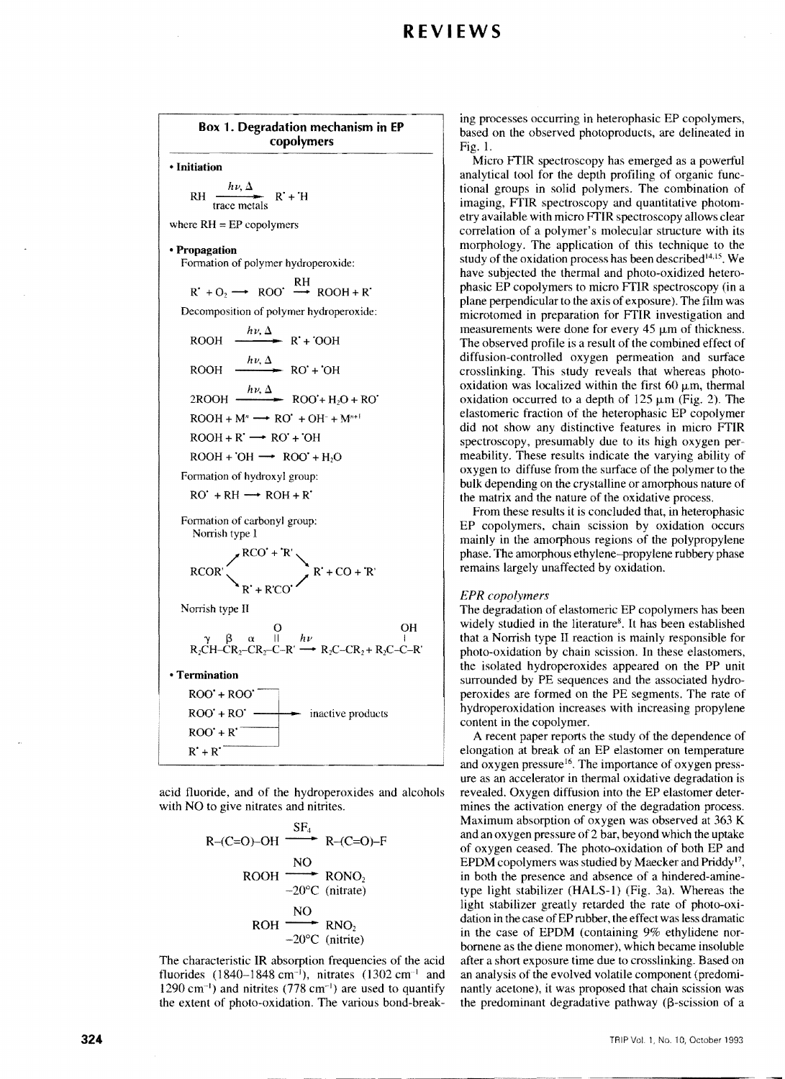Box 1. Degradation mechanism **in EP**  copolymers • Initiation RH  $\frac{h\nu, \Delta}{\text{trace metals}}$  R<sup>+</sup>+<sup>'H</sup> where  $RH = EP$  copolymers • Propagation Formation of polymer hydroperoxide:  $R' + O_2 \longrightarrow ROO' \stackrel{RH}{\longrightarrow} ROOH + R'$ Decomposition of polymer hydroperoxide:  $h\nu, \Delta$  $ROOH \longrightarrow R' + OOH$  $h\nu, \Delta$  $ROOH \longrightarrow RO' +'OH$  $h\nu, \Delta$  $2\text{ROOH} \longrightarrow \text{ROO' + H}_2\text{O + RO'}$  $ROOH + M^n \longrightarrow RO' + OH^- + M^{n+1}$  $ROOH + R' \longrightarrow RO' + OH$  $ROOH + OH \longrightarrow ROO' + H<sub>2</sub>O$ Formation of hydroxyl group:  $RO' + RH \longrightarrow ROH + R'$ Formation of carbonyl group: Norrish type I  $RCOR'$ <br> $RCO' + 'R'$ <br> $R' + CO + 'R'$  $\left| \right|_R$  + R'CO' / Norrish type II o OH  $\gamma$   $\beta$   $\alpha$  II  $h\nu$  I  $R_2CH-CR_2-CR_2-C-R' \longrightarrow R_2C-CR_2+R_2C-C-R'$ • Termination  $ROO' + ROO'$  $\overrightarrow{ROO}$  +  $\overrightarrow{RO'}$   $\longrightarrow$  inactive products  $ROO' + R'$  $R' + R'$ 

acid fluoride, and of the hydroperoxides and alcohols with NO to give nitrates and nitrites.



The characteristic IR absorption frequencies of the acid fluorides  $(1840-1848 \text{ cm}^{-1})$ , nitrates  $(1302 \text{ cm}^{-1})$  and  $1290 \text{ cm}^{-1}$ ) and nitrites (778 cm<sup>-1</sup>) are used to quantify the extent of photo-oxidation. The various bond-break-

ing processes occurring in heterophasic EP copolymers, based on the observed photoproducts, are delineated in Fig. l.

Micro FTIR spectroscopy has emerged as a powerful analytical tool for the depth profiling of organic functional groups in solid polymers. The combination of imaging, FTIR spectroscopy and quantitative photometry available with micro FTIR spectroscopy allows clear correlation of a polymer's molecular structure with its morphology. The application of this technique to the study of the oxidation process has been described $14.15$ . We have subjected the thermal and photo-oxidized heterophasic EP copolymers to micro FTIR spectroscopy (in a plane perpendicular to the axis of exposure). The film was microtomed in preparation for FTIR investigation and measurements were done for every 45  $\mu$ m of thickness. The observed profile is a result of the combined effect of diffusion-controlled oxygen permeation and surface crosslinking. This study reveals that whereas photooxidation was localized within the first 60  $\mu$ m, thermal oxidation occurred to a depth of  $125 \mu m$  (Fig. 2). The elastomeric fraction of the heterophasic EP copolymer did not show any distinctive features in micro FTIR spectroscopy, presumably due to its high oxygen permeability. These results indicate the varying ability of oxygen to diffuse from the surface of the polymer to the bulk depending on the crystalline or amorphous nature of the matrix and the nature of the oxidative process.

From these results it is concluded that, in heterophasic EP copolymers, chain scission by oxidation occurs mainly in the amorphous regions of the polypropylene phase. The amorphous ethylene-propylene rubbery phase remains largely unaffected by oxidation.

#### *EPR copolymers*

The degradation of elastomeric EP copolymers has been widely studied in the literature<sup>8</sup>. It has been established that a Norrish type II reaction is mainly responsible for photo-oxidation by chain scission. In these elastomers, the isolated hydroperoxides appeared on the PP unit surrounded by PE sequences and the associated hydroperoxides are formed on the PE segments. The rate of hydroperoxidation increases with increasing propylene content in the copolymer.

A recent paper reports the study of the dependence of elongation at break of an EP elastomer on temperature and oxygen pressure<sup>16</sup>. The importance of oxygen pressure as an accelerator in thermal oxidative degradation is revealed. Oxygen diffusion into the EP elastomer determines the activation energy of the degradation process. Maximum absorption of oxygen was observed at 363 K and an oxygen pressure of 2 bar, beyond which the uptake of oxygen ceased. The photo-oxidation of both EP and EPDM copolymers was studied by Maecker and Priddy<sup>17</sup>, in both the presence and absence of a hindered-aminetype light stabilizer (HALS-I) (Fig. 3a). Whereas the light stabilizer greatly retarded the rate of photo-oxidation in the case of EP rubber, the effect was less dramatic in the case of EPDM (containing 9% ethylidene norbomene as the diene monomer), which became insoluble after a short exposure time due to crosslinking. Based on an analysis of the evolved volatile component (predominantly acetone), it was proposed that chain scission was the predominant degradative pathway ( $\beta$ -scission of a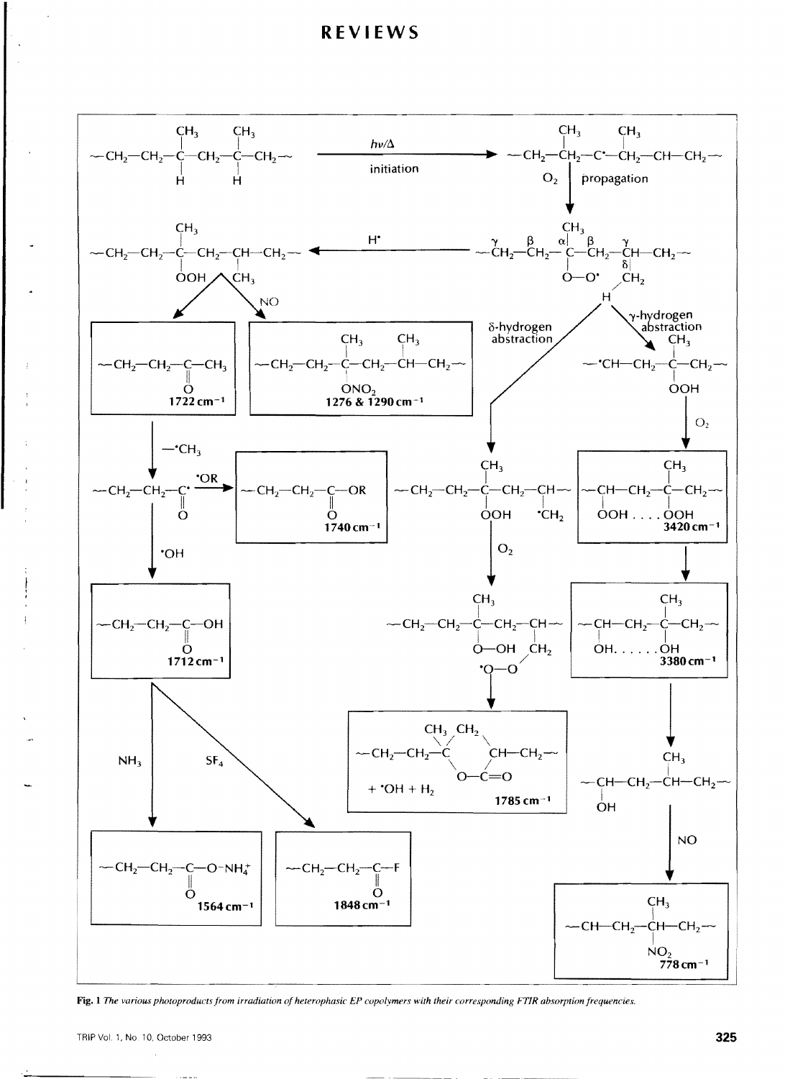

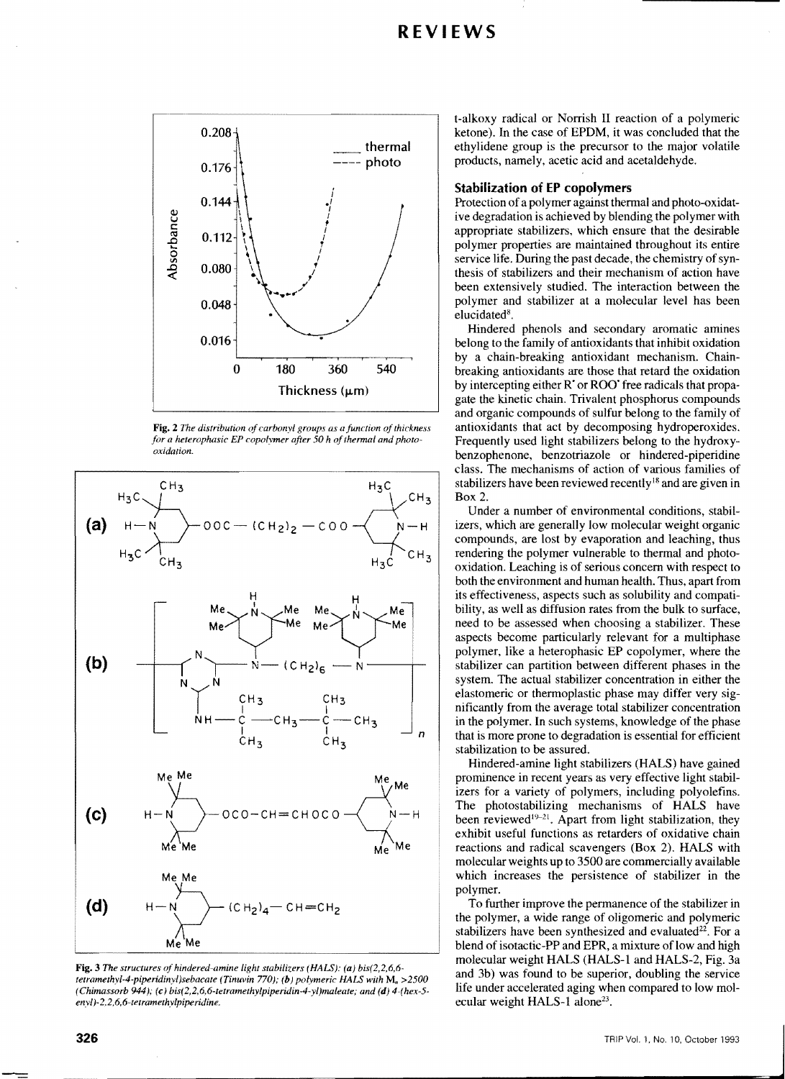

Fig. 2 The distribution of carbonyl groups as a function of thickness for a heterophasic EP copolymer after 50 h of thermal and photo*oxidation.* 



Fig. 3 The structures of hindered-amine light stabilizers (HALS): (a) bis(2,2,6,6-<br>tetramethyl-4-piperidinyl)sebacate (Tinuvin 770); (b) polymeric HALS with M<sub>n</sub> >2500 and 3b) was found to be superior, doubling the servic *(Chimassorb 944); (e) bis(2,2,6,6-tetramethylpiperidin-4-yl)maleate; and (d) 4-(hex-5-enyl)-2,2,6,6-tetramethylpiperidine.* 

t-alkoxy radical or Norrish II reaction of a polymeric ketone). In the case of EPDM, it was concluded that the ethylidene group is the precursor to the major volatile products, namely, acetic acid and acetaldehyde.

#### Stabilization of EP copolymers

Protection of a polymer against thermal and photo-oxidative degradation is achieved by blending the polymer with appropriate stabilizers, which ensure that the desirable polymer properties are maintained throughout its entire service life. During the past decade, the chemistry of synthesis of stabilizers and their mechanism of action have been extensively studied. The interaction between the polymer and stabilizer at a molecular level has been elucidated<sup>8</sup>.

Hindered phenols and secondary aromatic amines belong to the family of antioxidants that inhibit oxidation by a chain-breaking antioxidant mechanism. Chainbreaking antioxidants are those that retard the oxidation by intercepting either R' or ROO' free radicals that propagate the kinetic chain. Trivalent phosphorus compounds and organic compounds of sulfur belong to the family of antioxidants that act by decomposing hydroperoxides. Frequently used light stabilizers belong to the hydroxybenzophenone, benzotriazole or hindered-piperidine class. The mechanisms of action of various families of stabilizers have been reviewed recently<sup>18</sup> and are given in Box 2.

Under a number of environmental conditions, stabilizers, which are generally low molecular weight organic compounds, are lost by evaporation and leaching, thus rendering the polymer vulnerable to thermal and photooxidation. Leaching is of serious concern with respect to both the environment and human health. Thus, apart from its effectiveness, aspects such as solubility and compatibility, as well as diffusion rates from the bulk to surface, need to be assessed when choosing a stabilizer. These aspects become particularly relevant for a multiphase polymer, like a heterophasic EP copolymer, where the stabilizer can partition between different phases in the system. The actual stabilizer concentration in either the elastomeric or thermoplastic phase may differ very significantly from the average total stabilizer concentration in the polymer. In such systems, knowledge of the phase that is more prone to degradation is essential for efficient stabilization to be assured.

Hindered-amine light stabilizers (HALS) have gained prominence in recent years as very effective light stabilizers for a variety of polymers, including polyolefins. The photostabilizing mechanisms of HALS have been reviewed<sup>19-21</sup>. Apart from light stabilization, they exhibit useful functions as retarders of oxidative chain reactions and radical scavengers (Box 2). HALS with molecular weights up to 3500 are commercially available which increases the persistence of stabilizer in the polymer.

To further improve the permanence of the stabilizer in the polymer, a wide range of oligomeric and polymeric stabilizers have been synthesized and evaluated $22$ . For a blend of isotactic-PP and EPR, a mixture of low and high molecular weight HALS (HALS-1 and HALS-2, Fig. 3a and 3b) was found to be superior, doubling the service ecular weight HALS-1 alone<sup>23</sup>.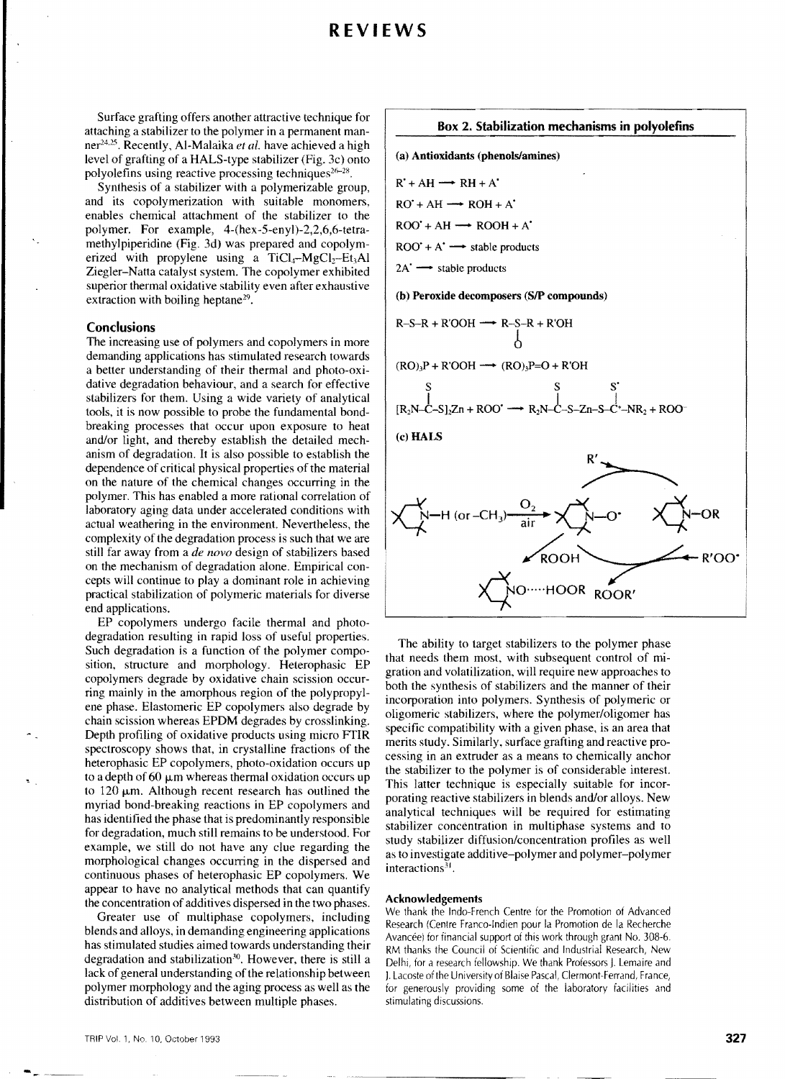Surface grafting offers another attractive technique for attaching a stabilizer to the polymer in a permanent manner<sup>24,25</sup>. Recently, Al-Malaika *et al.* have achieved a high level of grafting of a HALS-type stabilizer (Fig. 3c) onto polyolefins using reactive processing techniques<sup>26-28</sup>.

Synthesis of a stabilizer with a polymerizable group, and its copolymerization with suitable monomers, enables chemical attachment of the stabilizer to the polymer. For example, 4-(hex-5-enyl)-2,2,6,6-tetramethylpiperidine (Fig. 3d) was prepared and copolymerized with propylene using a TiCl<sub>4</sub>-MgCl<sub>2</sub>-Et<sub>3</sub>Al Ziegler-Natta catalyst system. The copolymer exhibited superior thermal oxidative stability even after exhaustive extraction with boiling heptane<sup>29</sup>.

#### **Conclusions**

The increasing use of polymers and copolymers in more demanding applications has stimulated research towards a better understanding of their thermal and photo-oxidative degradation behaviour, and a search for effective stabilizers for them. Using a wide variety of analytical tools, it is now possible to probe the fundamental bondbreaking processes that occur upon exposure to heat and/or light, and thereby establish the detailed mechanism of degradation. It is also possible to establish the dependence of critical physical properties of the material on the nature of the chemical changes occurring in the polymer. This has enabled a more rational correlation of laboratory aging data under accelerated conditions with actual weathering in the environment. Nevertheless, the complexity of the degradation process is such that we are still far away from a *de novo* design of stabilizers based on the mechanism of degradation alone. Empirical concepts will continue to play a dominant role in achieving practical stabilization of polymeric materials for diverse end applications.

EP copolymers undergo facile thermal and photodegradation resulting in rapid loss of useful properties. Such degradation is a function of the polymer composition, structure and morphology. Heterophasic EP copolymers degrade by oxidative chain scission occurring mainly in the amorphous region of the polypropylene phase. Elastomeric EP copolymers also degrade by chain scission whereas EPDM degrades by crosshnking. Depth profiling of oxidative products using micro FTIR spectroscopy shows that, in crystalline fractions of the heterophasic EP copolymers, photo-oxidation occurs up to a depth of  $60 \mu m$  whereas thermal oxidation occurs up to  $120 \mu m$ . Although recent research has outlined the myriad bond-breaking reactions in EP copolymers and has identified the phase that is predominantly responsible for degradation, much still remains to be understood. For example, we still do not have any clue regarding the morphological changes occurring in the dispersed and continuous phases of heterophasic EP copolymers. We appear to have no analytical methods that can quantify the concentration of additives dispersed in the two phases.

Greater use of multiphase copolymers, including blends and alloys, in demanding engineering applications has stimulated studies aimed towards understanding their degradation and stabilization<sup>30</sup>. However, there is still a lack of general understanding of the relationship between polymer morphology and the aging process as well as the distribution of additives between multiple phases.

#### Box 2, Stabilization mechanisms in polyolefins

(a) Antioxidants (phenols/amines)



(b) Peroxide decomposers (SIP compounds)

$$
R-S-R + R'OOH \longrightarrow R-S-R + R'OH
$$
  
0

 $(RO)_3P + R'OOH \longrightarrow (RO)_3P = O + R'OH$ 

$$
\begin{array}{ccc}\nS & S & S' \\
R_2N-C-S_1_2Zn+ROO' \longrightarrow R_2N-C-S-Zn-S-C'-NR_2+ROO\n\end{array}
$$

(c) HALS



The ability to target stabilizers to the polymer phase that needs them most, with subsequent control of mIgration and volatilization, will require new approaches to both the synthesis of stabilizers and the manner of their incorporation into polymers. Synthesis of polymeric or oligomeric stabilizers, where the polymer/oligomer has specific compatibility with a given phase, is an area that merits study. Similarly, surface grafting and reactive processing in an extruder as a means to chemically anchor the stabilizer to the polymer is of considerable interest. This latter technique is especially suitable for incorporating reactive stabilizers in blends and/or alloys. New analytical techniques will be required for estimating stabilizer concentration in multiphase systems and to study stabilizer diffusion/concentration profiles as well as to investigate additive-polymer and polymer-polymer interactions $31$ .

#### Acknowledgements

We thank the Indo-French Centre for the Promotion of Advanced Research (Centre Franco-Indien pour la Promotion de la Recherche Avancée) for financial support of this work through grant No. 308-6. RM thanks the Council of Scientific and Industrial Research, New Delhi, for a research fellowship. We thank Professors J. Lemaire and J. Lacoste of the University of Blaise Pascal, Clermont-Ferrand, France, for generously providing some of the laboratory facilities and stimulating discussions.